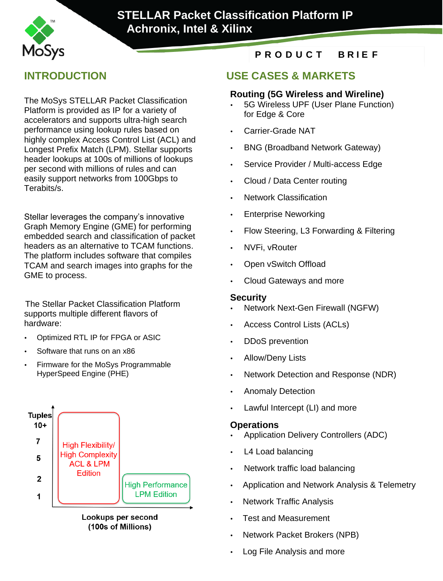

# **STELLAR Packet Classification Platform IP Achronix, Intel & Xilinx**

**Classification Platform IP Intel & Xilinx & Xilinx & Xilinx & Xilinx & Xilinx & Xilinx & Xilinx & Xilinx & Xilinx & Xilinx & Xilinx & Xilinx & Xilinx & Xilinx & Xilinx & Xilinx & Xilinx & Xilinx & Xilinx & Xilinx & Xilinx** 

The MoSys STELLAR Packet Classification Platform is provided as IP for a variety of accelerators and supports ultra-high search performance using lookup rules based on highly complex Access Control List (ACL) and Longest Prefix Match (LPM). Stellar supports header lookups at 100s of millions of lookups per second with millions of rules and can easily support networks from 100Gbps to Terabits/s.

Stellar leverages the company's innovative Graph Memory Engine (GME) for performing embedded search and classification of packet headers as an alternative to TCAM functions. The platform includes software that compiles TCAM and search images into graphs for the GME to process.

The Stellar Packet Classification Platform supports multiple different flavors of hardware:

- Optimized RTL IP for FPGA or ASIC
- Software that runs on an x86
- Firmware for the MoSys Programmable HyperSpeed Engine (PHE)



Lookups per second (100s of Millions)

## **P R O D U C T B R I E F**

## **INTRODUCTION USE CASES & MARKETS**

#### **Routing (5G Wireless and Wireline)**

- 5G Wireless UPF (User Plane Function) for Edge & Core
- Carrier-Grade NAT
- BNG (Broadband Network Gateway)
- Service Provider / Multi-access Edge
- Cloud / Data Center routing
- Network Classification
- Enterprise Neworking
- Flow Steering, L3 Forwarding & Filtering
- NVFi, vRouter
- Open vSwitch Offload
- Cloud Gateways and more

#### **Security**

- Network Next-Gen Firewall (NGFW)
- Access Control Lists (ACLs)
- DDoS prevention
- Allow/Deny Lists
- Network Detection and Response (NDR)
- Anomaly Detection
- Lawful Intercept (LI) and more

#### **Operations**

- Application Delivery Controllers (ADC)
- L4 Load balancing
- Network traffic load balancing
- Application and Network Analysis & Telemetry
- Network Traffic Analysis
- Test and Measurement
- Network Packet Brokers (NPB)
- Log File Analysis and more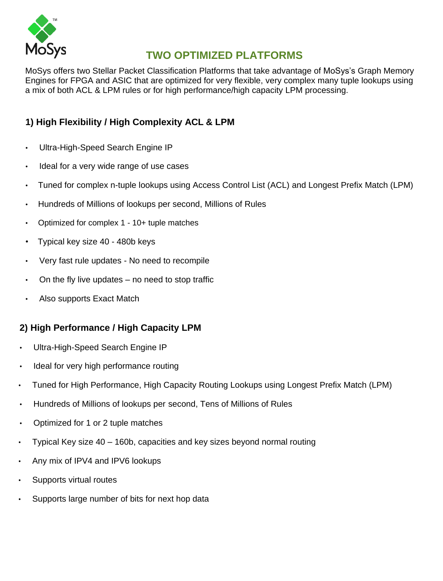

# **TWO OPTIMIZED PLATFORMS**

MoSys offers two Stellar Packet Classification Platforms that take advantage of MoSys's Graph Memory Engines for FPGA and ASIC that are optimized for very flexible, very complex many tuple lookups using a mix of both ACL & LPM rules or for high performance/high capacity LPM processing.

## **1) High Flexibility / High Complexity ACL & LPM**

- Ultra-High-Speed Search Engine IP
- Ideal for a very wide range of use cases
- Tuned for complex n-tuple lookups using Access Control List (ACL) and Longest Prefix Match (LPM)
- Hundreds of Millions of lookups per second, Millions of Rules
- Optimized for complex 1 10+ tuple matches
- Typical key size 40 480b keys
- Very fast rule updates No need to recompile
- On the fly live updates no need to stop traffic
- Also supports Exact Match

## **2) High Performance / High Capacity LPM**

- Ultra-High-Speed Search Engine IP
- Ideal for very high performance routing
- Tuned for High Performance, High Capacity Routing Lookups using Longest Prefix Match (LPM)
- Hundreds of Millions of lookups per second, Tens of Millions of Rules
- Optimized for 1 or 2 tuple matches
- Typical Key size 40 160b, capacities and key sizes beyond normal routing
- Any mix of IPV4 and IPV6 lookups
- Supports virtual routes
- Supports large number of bits for next hop data